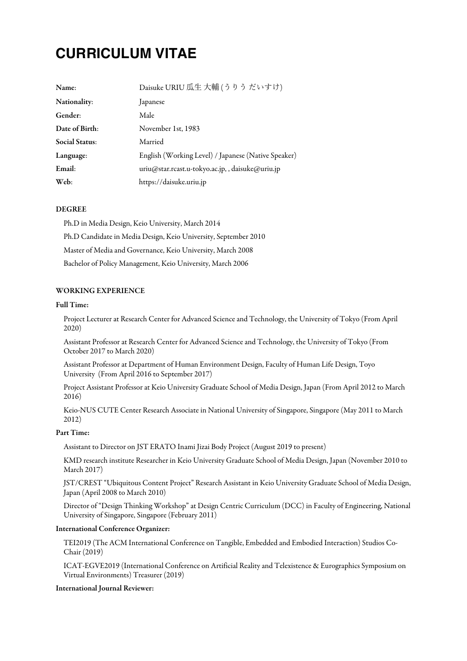# **CURRICULUM VITAE**

| Name:                 | Daisuke URIU 瓜生大輔(うりうだいすけ)                          |
|-----------------------|-----------------------------------------------------|
| Nationality:          | Japanese                                            |
| Gender:               | Male                                                |
| Date of Birth:        | November 1st, 1983                                  |
| <b>Social Status:</b> | Married                                             |
| Language:             | English (Working Level) / Japanese (Native Speaker) |
| Email:                | uriu@star.rcast.u-tokyo.ac.jp,, daisuke@uriu.jp     |
| Web:                  | https://daisuke.uriu.jp                             |

## DEGREE

Ph.D in Media Design, Keio University, March 2014 Ph.D Candidate in Media Design, Keio University, September 2010 Master of Mediaand Governance, Keio University, March 2008 Bachelor of Policy Management, Keio University, March 2006

# WORKING EXPERIENCE

## Full Time:

Project Lecturer at Research Center for Advanced Science and Technology, the University of Tokyo (From April 2020)

Assistant Professorat Research Center for Advanced Scienceand Technology, the University of Tokyo (From October 2017 to March 2020)

Assistant Professorat Department of Human Environment Design, Faculty of Human Life Design, Toyo University (From April 2016 to September 2017)

Project Assistant Professorat Keio University Graduate School of Media Design, Japan (From April 2012 to March 2016)

Keio-NUS CUTE Center Research Associate in National University of Singapore, Singapore (May 2011 to March 2012)

# Part Time:

Assistant to Director on JST ERATO Inami Jizai Body Project (August 2019 to present)

KMD research institute Researcher in Keio University Graduate School of Media Design, Japan (November 2010 to March 2017)

JST/CREST "Ubiquitous Content Project" Research Assistant in Keio University Graduate School of Media Design, Japan (April 2008 to March 2010)

Director of "Design Thinking Workshop"at Design Centric Curriculum (DCC) in Faculty of Engineering, National University of Singapore, Singapore(February 2011)

## International Conference Organizer:

TEI2019 (The ACM International Conference on Tangible, Embedded and Embodied Interaction) Studios Co-Chair (2019)

ICAT-EGVE2019 (International Conference on Artificial Reality and Telexistence & Eurographics Symposium on Virtual Environments) Treasurer (2019)

## International Journal Reviewer: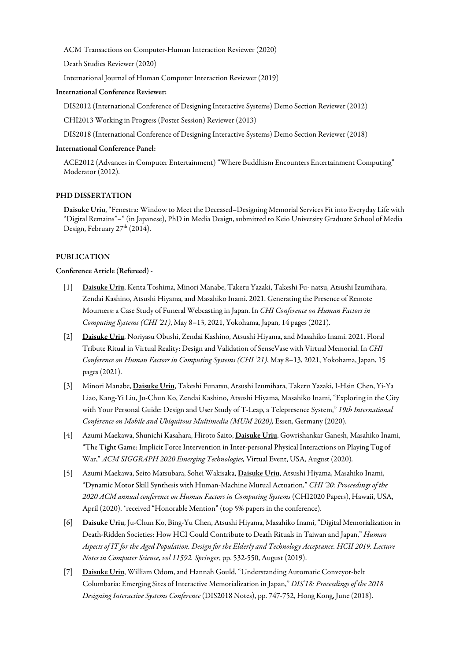ACM Transactions on Computer-Human Interaction Reviewer (2020)

Death Studies Reviewer (2020)

International Journal of Human Computer Interaction Reviewer (2019)

#### International Conference Reviewer:

DIS2012 (International Conference of Designing Interactive Systems) Demo Section Reviewer (2012)

CHI2013 Working in Progress (Poster Session) Reviewer (2013)

DIS2018 (International Conference of Designing Interactive Systems) Demo Section Reviewer (2018)

#### International Conference Panel:

ACE2012 (Advances in Computer Entertainment) "Where Buddhism Encounters Entertainment Computing" Moderator (2012).

# PHD DISSERTATION

Daisuke Uriu, "Fenestra: Window to Meet the Deceased–Designing Memorial Services Fit into Everyday Life with "Digital Remains"–" (in Japanese), PhD in Media Design, submitted to Keio University Graduate School of Media Design, February 27<sup>th</sup> (2014).

#### PUBLICATION

#### Conference Article (Refereed) -

- [1] Daisuke Uriu, Kenta Toshima, Minori Manabe, Takeru Yazaki, Takeshi Fu- natsu, Atsushi Izumihara, Zendai Kashino, Atsushi Hiyama, and Masahiko Inami. 2021. Generating the Presence of Remote Mourners:a Case Study of Funeral Webcasting in Japan. In *CHI Conference on Human Factors in Computing Systems (CHI '21)*, May 8–13, 2021, Yokohama, Japan, 14 pages (2021).
- [2] Daisuke Uriu, Noriyasu Obushi, Zendai Kashino, Atsushi Hiyama, and Masahiko Inami. 2021. Floral Tribute Ritual in Virtual Reality: Design and Validation of SenseVase with Virtual Memorial. In *CHI Conference on Human Factors in Computing Systems (CHI '21)*, May 8–13, 2021, Yokohama, Japan, 15 pages (2021).
- [3] Minori Manabe, Daisuke Uriu, Takeshi Funatsu, Atsushi Izumihara, Takeru Yazaki, I-Hsin Chen, Yi-Ya Liao, Kang-Yi Liu, Ju-Chun Ko, Zendai Kashino, Atsushi Hiyama, Masahiko Inami, "Exploring in the City with Your Personal Guide: Design and User Study of T-Leap,a Telepresence System," *19th International Conference on Mobile and Ubiquitous Multimedia (MUM 2020),* Essen, Germany (2020).
- [4] Azumi Maekawa, Shunichi Kasahara, Hiroto Saito, Daisuke Uriu, Gowrishankar Ganesh, Masahiko Inami, "The Tight Game: Implicit Force Intervention in Inter-personal Physical Interactions on Playing Tug of War," *ACM SIGGRAPH 2020 Emerging Technologies,* Virtual Event, USA, August (2020)*.*
- [5] Azumi Maekawa, Seito Matsubara, Sohei Wakisaka, Daisuke Uriu, Atsushi Hiyama, Masahiko Inami, "Dynamic Motor Skill Synthesis with Human-Machine Mutual Actuation," *CHI '20: Proceedings of the 2020 ACM annual conference on Human Factors in Computing Systems* (CHI2020 Papers), Hawaii, USA, April (2020). \*received "Honorable Mention" (top 5% papers in the conference).
- [6] Daisuke Uriu, Ju-Chun Ko, Bing-Yu Chen, Atsushi Hiyama, Masahiko Inami, "Digital Memorialization in Death-Ridden Societies: How HCI Could Contributeto Death Rituals in Taiwan and Japan," *Human* Aspects of IT for the Aged Population. Design for the Elderly and Technology Acceptance. HCII 2019. Lecture *Notes in Computer Science, vol 11592. Springer*, pp. 532-550, August (2019).
- [7] Daisuke Uriu, William Odom,and Hannah Gould, "Understanding Automatic Conveyor-belt Columbaria: Emerging Sites of Interactive Memorialization in Japan," *DIS'18: Proceedings of the 2018 DesigningInteractive Systems Conference* (DIS2018 Notes), pp. 747-752, Hong Kong, June(2018).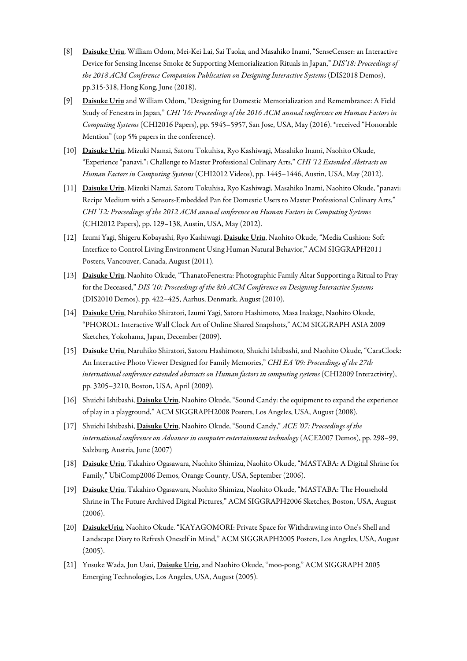- [8] Daisuke Uriu, William Odom, Mei-Kei Lai, Sai Taoka, and Masahiko Inami, "SenseCenser: an Interactive Devicefor Sensing Incense Smoke & Supporting Memorialization Rituals in Japan," *DIS'18: Proceedings of the 2018 ACM Conference Companion Publication on DesigningInteractive Systems* (DIS2018 Demos), pp.315-318, Hong Kong, June(2018).
- [9] Daisuke Uriu and William Odom, "Designing for Domestic Memorialization and Remembrance: A Field Study of Fenestrain Japan," *CHI '16: Proceedings of the 2016 ACM annual conference on Human Factors in Computing Systems* (CHI2016 Papers), pp. 5945–5957, San Jose, USA, May (2016). \*received "Honorable Mention" (top 5% papers in the conference).
- [10] Daisuke Uriu, Mizuki Namai, Satoru Tokuhisa, Ryo Kashiwagi, Masahiko Inami, Naohito Okude, "Experience"panavi,": Challengeto Master Professional Culinary Arts," *CHI '12 Extended Abstracts on Human Factors in Computing Systems* (CHI2012 Videos), pp. 1445–1446, Austin, USA, May (2012).
- [11] Daisuke Uriu, Mizuki Namai, Satoru Tokuhisa, Ryo Kashiwagi, Masahiko Inami, Naohito Okude, "panavi: Recipe Medium with a Sensors-Embedded Pan for Domestic Users to Master Professional Culinary Arts," *CHI '12: Proceedings of the 2012 ACM annual conference on Human Factors in Computing Systems* (CHI2012 Papers), pp. 129–138, Austin, USA, May (2012).
- [12] Izumi Yagi, Shigeru Kobayashi, Ryo Kashiwagi, Daisuke Uriu, Naohito Okude, "Media Cushion: Soft Interface to Control Living Environment Using Human Natural Behavior," ACM SIGGRAPH2011 Posters, Vancouver, Canada, August (2011).
- [13] Daisuke Uriu, Naohito Okude, "ThanatoFenestra: Photographic Family Altar Supporting a Ritual to Pray for the Deceased," *DIS '10: Proceedings of the 8th ACM Conference on DesigningInteractive Systems* (DIS2010 Demos), pp. 422–425, Aarhus, Denmark, August (2010).
- [14] Daisuke Uriu, Naruhiko Shiratori, Izumi Yagi, Satoru Hashimoto, Masa Inakage, Naohito Okude, "PHOROL: Interactive Wall Clock Art of Online Shared Snapshots," ACM SIGGRAPH ASIA 2009 Sketches, Yokohama, Japan, December (2009).
- [15] Daisuke Uriu, Naruhiko Shiratori, Satoru Hashimoto, Shuichi Ishibashi, and Naohito Okude, "CaraClock: An Interactive Photo Viewer Designed for Family Memories," *CHI EA '09: Proceedings of the 27th international conference extended abstracts on Human factors in computing systems* (CHI2009 Interactivity), pp. 3205–3210, Boston, USA, April (2009).
- [16] Shuichi Ishibashi, Daisuke Uriu, Naohito Okude, "Sound Candy: the equipment to expand the experience of play in a playground," ACM SIGGRAPH2008 Posters, Los Angeles, USA, August (2008).
- [17] Shuichi Ishibashi, Daisuke Uriu, Naohito Okude, "Sound Candy," *ACE '07: Proceedings of the international conference on Advances in computer entertainment technology* (ACE2007 Demos), pp. 298–99, Salzburg, Austria, June(2007)
- [18] Daisuke Uriu, Takahiro Ogasawara, Naohito Shimizu, Naohito Okude, "MASTABA: A Digital Shrinefor Family," UbiComp2006 Demos, Orange County, USA, September (2006).
- [19] Daisuke Uriu, Takahiro Ogasawara, Naohito Shimizu, Naohito Okude, "MASTABA: The Household Shrine in The Future Archived Digital Pictures," ACM SIGGRAPH2006 Sketches, Boston, USA, August (2006).
- [20] DaisukeUriu, Naohito Okude. "KAYAGOMORI: Private Space for Withdrawing into One's Shell and Landscape Diary to Refresh Oneself in Mind," ACM SIGGRAPH2005 Posters, Los Angeles, USA, August (2005).
- [21] Yusuke Wada, Jun Usui, Daisuke Uriu, and Naohito Okude, "moo-pong," ACM SIGGRAPH 2005 Emerging Technologies, Los Angeles, USA, August (2005).